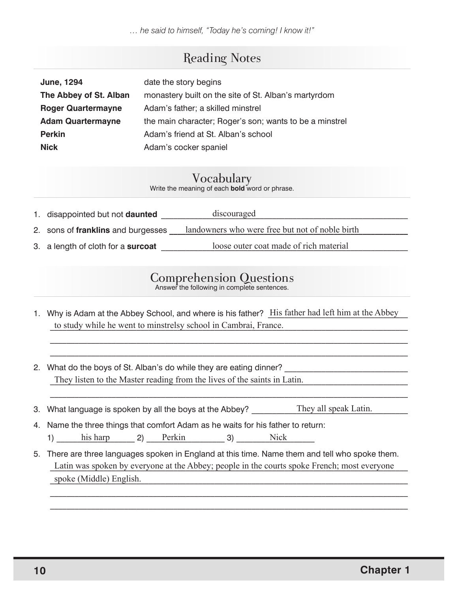*… he said to himself, "Today he's coming! I know it!"*

## Reading Notes

| <b>June, 1294</b>         | date the story begins                                   |
|---------------------------|---------------------------------------------------------|
| The Abbey of St. Alban    | monastery built on the site of St. Alban's martyrdom    |
| <b>Roger Quartermayne</b> | Adam's father; a skilled minstrel                       |
| <b>Adam Quartermayne</b>  | the main character; Roger's son; wants to be a minstrel |
| <b>Perkin</b>             | Adam's friend at St. Alban's school                     |
| <b>Nick</b>               | Adam's cocker spaniel                                   |

Vocabulary Write the meaning of each **bold** word or phrase.

| 1. disappointed but not <b>daunted</b> | discouraged                                     |
|----------------------------------------|-------------------------------------------------|
| 2. sons of franklins and burgesses     | landowners who were free but not of noble birth |
| 3. a length of cloth for a surcoat     | loose outer coat made of rich material          |

# Comprehension Questions Answer the following in complete sentences.

1. Why is Adam at the Abbey School, and where is his father? His father had left him at the Abbey to study while he went to minstrelsy school in Cambrai, France.

\_\_\_\_\_\_\_\_\_\_\_\_\_\_\_\_\_\_\_\_\_\_\_\_\_\_\_\_\_\_\_\_\_\_\_\_\_\_\_\_\_\_\_\_\_\_\_\_\_\_\_\_\_\_\_\_\_\_\_\_\_\_\_\_\_\_\_\_\_\_\_\_\_\_\_\_\_\_\_\_\_\_\_\_\_\_\_  $\mathcal{L}_\mathcal{L} = \{ \mathcal{L}_\mathcal{L} = \{ \mathcal{L}_\mathcal{L} = \{ \mathcal{L}_\mathcal{L} = \{ \mathcal{L}_\mathcal{L} = \{ \mathcal{L}_\mathcal{L} = \{ \mathcal{L}_\mathcal{L} = \{ \mathcal{L}_\mathcal{L} = \{ \mathcal{L}_\mathcal{L} = \{ \mathcal{L}_\mathcal{L} = \{ \mathcal{L}_\mathcal{L} = \{ \mathcal{L}_\mathcal{L} = \{ \mathcal{L}_\mathcal{L} = \{ \mathcal{L}_\mathcal{L} = \{ \mathcal{L}_\mathcal{$ 

 $\mathcal{L}_\mathcal{L} = \{ \mathcal{L}_\mathcal{L} = \{ \mathcal{L}_\mathcal{L} = \{ \mathcal{L}_\mathcal{L} = \{ \mathcal{L}_\mathcal{L} = \{ \mathcal{L}_\mathcal{L} = \{ \mathcal{L}_\mathcal{L} = \{ \mathcal{L}_\mathcal{L} = \{ \mathcal{L}_\mathcal{L} = \{ \mathcal{L}_\mathcal{L} = \{ \mathcal{L}_\mathcal{L} = \{ \mathcal{L}_\mathcal{L} = \{ \mathcal{L}_\mathcal{L} = \{ \mathcal{L}_\mathcal{L} = \{ \mathcal{L}_\mathcal{$ 

- 2. What do the boys of St. Alban's do while they are eating dinner? They listen to the Master reading from the lives of the saints in Latin.
- 3. What language is spoken by all the boys at the Abbey? They all speak Latin.

4. Name the three things that comfort Adam as he waits for his father to return:

1) his harp 2) Perkin 3) Nick

5. There are three languages spoken in England at this time. Name them and tell who spoke them. Latin was spoken by everyone at the Abbey; people in the courts spoke French; most everyone spoke (Middle) English.

 $\mathcal{L}_\mathcal{L} = \{ \mathcal{L}_\mathcal{L} = \{ \mathcal{L}_\mathcal{L} = \{ \mathcal{L}_\mathcal{L} = \{ \mathcal{L}_\mathcal{L} = \{ \mathcal{L}_\mathcal{L} = \{ \mathcal{L}_\mathcal{L} = \{ \mathcal{L}_\mathcal{L} = \{ \mathcal{L}_\mathcal{L} = \{ \mathcal{L}_\mathcal{L} = \{ \mathcal{L}_\mathcal{L} = \{ \mathcal{L}_\mathcal{L} = \{ \mathcal{L}_\mathcal{L} = \{ \mathcal{L}_\mathcal{L} = \{ \mathcal{L}_\mathcal{$ \_\_\_\_\_\_\_\_\_\_\_\_\_\_\_\_\_\_\_\_\_\_\_\_\_\_\_\_\_\_\_\_\_\_\_\_\_\_\_\_\_\_\_\_\_\_\_\_\_\_\_\_\_\_\_\_\_\_\_\_\_\_\_\_\_\_\_\_\_\_\_\_\_\_\_\_\_\_\_\_\_\_\_\_\_\_\_

 $\overline{a}$ 

 $\overline{a}$ 

 $\overline{a}$